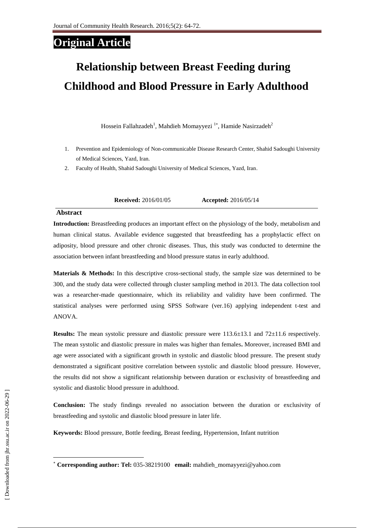# **Original Article**

# **Relationship between Breast Feeding during Childhood and Blood Pressure [in Early Adulthood](https://www.google.com/url?sa=t&rct=j&q=&esrc=s&source=web&cd=8&ved=0ahUKEwjGm8XYuvHJAhUL1hoKHcR9A_sQFghXMAc&url=http%3A%2F%2Fajcn.nutrition.org%2Fcontent%2F77%2F6%2F1489.full.pdf&usg=AFQjCNEoNA4GntL2urtYS1OgMjacCi9XgA&sig2=p2iRCA3ZE_naO1kbTekhVQ)**

[Hossein](http://jhr.ssu.ac.ir/search.php?slc_lang=en&sid=1&auth=falahzadeh) Fallahzadeh<sup>1</sup>, Mahdieh Momayyezi<sup>1\*</sup>, Hamide Nasirzadeh<sup>2</sup>

- 1. Prevention and Epidemiology of Non-communicable Disease Research Center, Shahid Sadoughi University of Medical Sciences, Yazd, Iran.
- 2. Faculty of Health, Shahid Sadoughi University of Medical Sciences, Yazd, Iran.

**Received:** 2016/01/05 **Accepted:** 2016/05/14

#### **Abstract**

**Introduction:** Breastfeeding produces an important effect on the physiology of the body, metabolism and human clinical status. Available evidence suggested that breastfeeding has a prophylactic effect on adiposity, blood pressure and other chronic diseases. Thus, this study was conducted to determine the association between infant breastfeeding and blood pressure status in early adulthood.

**Materials & Methods:** In this descriptive cross-sectional study, the sample size was determined to be 300, and the study data were collected through cluster sampling method in 2013. The data collection tool was a researcher-made questionnaire, which its reliability and validity have been confirmed. The statistical analyses were performed using SPSS Software (ver.16) applying independent t-test and ANOVA.

**Results:** The mean systolic pressure and diastolic pressure were  $113.6\pm13.1$  and  $72\pm11.6$  respectively. The mean systolic and diastolic pressure in males was higher than females**.** Moreover, increased BMI and age were associated with a significant growth in systolic and diastolic blood pressure. The present study demonstrated a significant positive correlation between systolic and diastolic blood pressure. However, the results did not show a significant relationship between duration or exclusivity of breastfeeding and systolic and diastolic blood pressure in adulthood.

**Conclusion:** The study findings revealed no association between the duration or exclusivity of breastfeeding and systolic and diastolic blood pressure in later life.

**Keywords:** Blood pressure, Bottle feeding, Breast feeding, Hypertension, Infant nutrition

l

**Corresponding author: Tel:** 035-38219100 **email:** mahdieh\_momayyezi@yahoo.com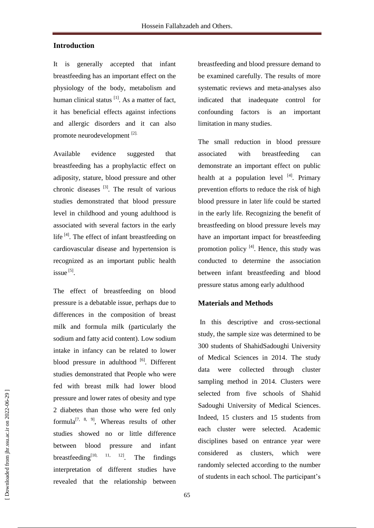### **Introduction**

It is generally accepted that infant breastfeeding has an important effect on the physiology of the body, metabolism and human clinical status  $\left[1\right]$ . As a matter of fact, it has beneficial effects against infections and allergic disorders and it can also promote neurodevelopment [2].

Available evidence suggested that breastfeeding has a prophylactic effect on adiposity, stature, blood pressure and other chronic diseases  $^{[3]}$ . The result of various studies demonstrated that blood pressure level in childhood and young adulthood is associated with several factors in the early life<sup>[4]</sup>. The effect of infant breastfeeding on cardiovascular disease and hypertension is recognized as an important public health issue<sup>[5]</sup>.

The effect of breastfeeding on blood pressure is a debatable issue, perhaps due to differences in the composition of breast milk and formula milk (particularly the sodium and fatty acid content). Low sodium intake in infancy can be related to lower blood pressure in adulthood [6]. Different studies demonstrated that People who were fed with breast milk had lower blood pressure and lower rates of obesity and type 2 diabetes than those who were fed only formula<sup>[7, 8, 9]</sup>, Whereas results of other studies showed no or little difference between blood pressure and infant breastfeeding $[10, 11, 12]$ The findings interpretation of different studies have revealed that the relationship between

breastfeeding and blood pressure demand to be examined carefully. The results of more systematic reviews and meta-analyses also indicated that inadequate control for confounding factors is an important limitation in many studies.

The small reduction in blood pressure associated with breastfeeding can demonstrate an important effect on public health at a population level [4]. Primary prevention efforts to reduce the risk of high blood pressure in later life could be started in the early life. Recognizing the benefit of breastfeeding on blood pressure levels may have an important impact for breastfeeding promotion policy  $[4]$ . Hence, this study was conducted to determine the association between infant breastfeeding and blood pressure status among early adulthood

#### **Materials and Methods**

In this descriptive and cross-sectional study, the sample size was determined to be 300 students of ShahidSadoughi University of Medical Sciences in 2014. The study data were collected through cluster sampling method in 2014. Clusters were selected from five schools of Shahid Sadoughi University of Medical Sciences. Indeed, 15 clusters and 15 students from each cluster were selected. Academic disciplines based on entrance year were considered as clusters, which were randomly selected according to the number of students in each school. The participant's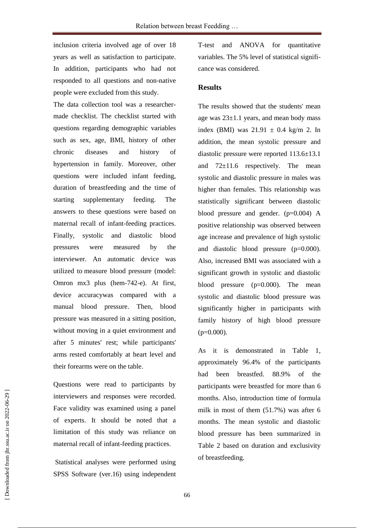inclusion criteria involved age of over 18 years as well as satisfaction to participate. In addition, participants who had not responded to all questions and non-native people were excluded from this study.

The data collection tool was a researchermade checklist. The checklist started with questions regarding demographic variables such as sex, age, BMI, history of other chronic diseases and history of hypertension in family. Moreover, other questions were included infant feeding, duration of breastfeeding and the time of starting supplementary feeding. The answers to these questions were based on maternal recall of infant-feeding practices. Finally, systolic and diastolic blood pressures were measured by the interviewer. An automatic device was utilized to measure blood pressure (model: Omron mx3 plus (hem-742-e). At first, device accuracywas compared with a manual blood pressure. Then, blood pressure was measured in a sitting position, without moving in a quiet environment and after 5 minutes' rest; while participants' arms rested comfortably at heart level and their forearms were on the table.

Questions were read to participants by interviewers and responses were recorded. Face validity was examined using a panel of experts. It should be noted that a limitation of this study was reliance on maternal recall of infant-feeding practices.

Statistical analyses were performed using SPSS Software (ver.16) using independent T-test and ANOVA for quantitative variables. The 5% level of statistical significance was considered.

## **Results**

The results showed that the students' mean age was  $23\pm1.1$  years, and mean body mass index (BMI) was  $21.91 \pm 0.4$  kg/m 2. In addition, the mean systolic pressure and diastolic pressure were reported 113.6±13.1 and  $72\pm11.6$  respectively. The mean systolic and diastolic pressure in males was higher than females. This relationship was statistically significant between diastolic blood pressure and gender. (p=0.004) A positive relationship was observed between age increase and prevalence of high systolic and diastolic blood pressure (p=0.000). Also, increased BMI was associated with a significant growth in systolic and diastolic blood pressure (p=0.000). The mean systolic and diastolic blood pressure was significantly higher in participants with family history of high blood pressure  $(p=0.000)$ .

As it is demonstrated in Table 1, approximately 96.4% of the participants had been breastfed. 88.9% of the participants were breastfed for more than 6 months. Also, introduction time of formula milk in most of them (51.7%) was after 6 months. The mean systolic and diastolic blood pressure has been summarized in Table 2 based on duration and exclusivity of breastfeeding.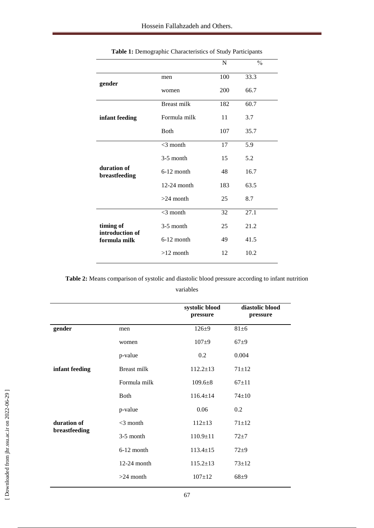|                              |                    | N   | $\frac{0}{0}$ |
|------------------------------|--------------------|-----|---------------|
|                              | men                | 100 | 33.3          |
| gender                       | women              | 200 | 66.7          |
|                              | <b>Breast milk</b> | 182 | 60.7          |
| infant feeding               | Formula milk       | 11  | 3.7           |
|                              | Both               | 107 | 35.7          |
|                              | $<$ 3 month        | 17  | 5.9           |
|                              | $3-5$ month        | 15  | 5.2           |
| duration of<br>breastfeeding | $6-12$ month       | 48  | 16.7          |
|                              | $12-24$ month      | 183 | 63.5          |
|                              | $>24$ month        | 25  | 8.7           |
|                              | $<$ 3 month        | 32  | 27.1          |
| timing of<br>introduction of | $3-5$ month        | 25  | 21.2          |
| formula milk                 | $6-12$ month       | 49  | 41.5          |
|                              | $>12$ month        | 12  | 10.2          |
|                              |                    |     |               |

**Table 2:** Means comparison of systolic and diastolic blood pressure according to infant nutrition variables

|                              |               | systolic blood<br>pressure | diastolic blood<br>pressure |
|------------------------------|---------------|----------------------------|-----------------------------|
| gender                       | men           | $126 + 9$                  | $81\pm6$                    |
|                              | women         | $107 + 9$                  | $67+9$                      |
|                              | p-value       | 0.2                        | 0.004                       |
| infant feeding               | Breast milk   | $112.2 \pm 13$             | $71 + 12$                   |
|                              | Formula milk  | $109.6 \pm 8$              | $67+11$                     |
|                              | <b>Both</b>   | $116.4 \pm 14$             | $74 \pm 10$                 |
|                              | p-value       | 0.06                       | 0.2                         |
| duration of<br>breastfeeding | $<$ 3 month   | $112 \pm 13$               | $71 + 12$                   |
|                              | $3-5$ month   | $110.9 \pm 11$             | $72 + 7$                    |
|                              | 6-12 month    | $113.4 \pm 15$             | $72 + 9$                    |
|                              | $12-24$ month | $115.2 \pm 13$             | $73 + 12$                   |
|                              | $>24$ month   | $107 + 12$                 | $68 + 9$                    |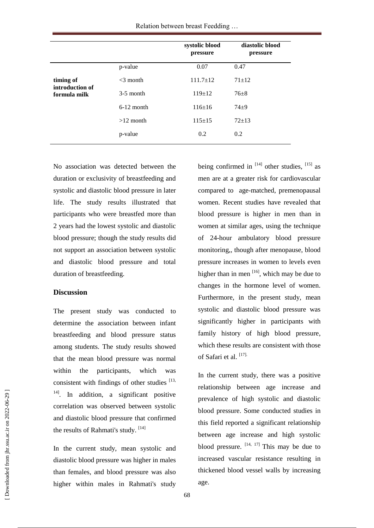Relation between breast Feedding …

|                                              |              | systolic blood<br>pressure | diastolic blood<br>pressure |
|----------------------------------------------|--------------|----------------------------|-----------------------------|
| timing of<br>introduction of<br>formula milk | p-value      | 0.07                       | 0.47                        |
|                                              | $<$ 3 month  | $111.7 \pm 12$             | $71 + 12$                   |
|                                              | $3-5$ month  | $119 \pm 12$               | $76 + 8$                    |
|                                              | $6-12$ month | $116 \pm 16$               | $74 + 9$                    |
|                                              | $>12$ month  | $115 \pm 15$               | $72+13$                     |
|                                              | p-value      | 0.2                        | 0.2                         |
|                                              |              |                            |                             |

No association was detected between the duration or exclusivity of breastfeeding and systolic and diastolic blood pressure in later life. The study results illustrated that participants who were breastfed more than 2 years had the lowest systolic and diastolic blood pressure; though the study results did not support an association between systolic and diastolic blood pressure and total duration of breastfeeding.

#### **Discussion**

The present study was conducted to determine the association between infant breastfeeding and blood pressure status among students. The study results showed that the mean blood pressure was normal within the participants, which was consistent with findings of other studies  $[13,$ <sup>14]</sup>. In addition, a significant positive correlation was observed between systolic and diastolic blood pressure that confirmed the results of Rahmati's study. [14]

In the current study, mean systolic and diastolic blood pressure was higher in males than females, and blood pressure was also higher within males in Rahmati's study

being confirmed in  $[14]$  other studies,  $[15]$  as men are at a greater risk for cardiovascular compared to age-matched, premenopausal women. Recent studies have revealed that blood pressure is higher in men than in women at similar ages, using the technique of 24-hour ambulatory blood pressure monitoring,, though after menopause, blood pressure increases in women to levels even higher than in men  $[16]$ , which may be due to changes in the hormone level of women. Furthermore, in the present study, mean systolic and diastolic blood pressure was significantly higher in participants with family history of high blood pressure, which these results are consistent with those of Safari et al. [17].

In the current study, there was a positive relationship between age increase and prevalence of high systolic and diastolic blood pressure. Some conducted studies in this field reported a significant relationship between age increase and high systolic blood pressure.  $[14, 17]$  This may be due to increased vascular resistance resulting in thickened blood vessel walls by increasing age.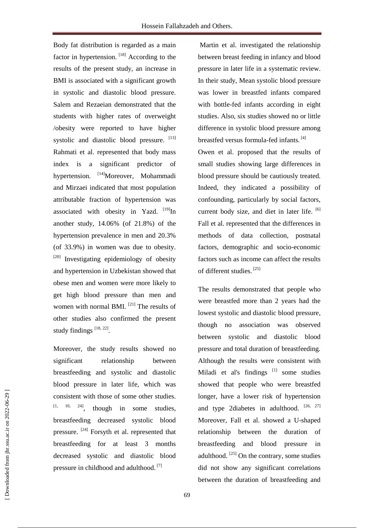Body fat distribution is regarded as a main factor in hypertension. [18] According to the results of the present study, an increase in BMI is associated with a significant growth in systolic and diastolic blood pressure. Salem and Rezaeian demonstrated that the students with higher rates of overweight /obesity were reported to have higher systolic and diastolic blood pressure. [13] Rahmati et al. represented that body mass index is a significant predictor of hypertension. <sup>[14]</sup>Moreover, Mohammadi and Mirzaei indicated that most population attributable fraction of hypertension was associated with obesity in Yazd.  $[19]$ In another study, 14.06% (of 21.8%) of the hypertension prevalence in men and 20.3% (of 33.9%) in women was due to obesity. <sup>[20]</sup> Investigating epidemiology of obesity and hypertension in Uzbekistan showed that obese men and women were more likely to get high blood pressure than men and women with normal BMI.<sup>[21]</sup> The results of other studies also confirmed the present study findings  $[18, 22]$ .

Moreover, the study results showed no significant relationship between breastfeeding and systolic and diastolic blood pressure in later life, which was consistent with those of some other [studies.](http://hmj.hums.ac.ir/search.php?slc_lang=en&sid=1&auth=Miladi+Gorji)  $[1, 10, 24]$ [, though](http://hmj.hums.ac.ir/search.php?slc_lang=en&sid=1&auth=Miladi+Gorji) in some studies, breastfeeding decreased systolic blood pressure. <sup>[24]</sup> Forsyth et al. represented that breastfeeding for at least 3 months decreased systolic and diastolic blood pressure in childhood and adulthood.<sup>[7]</sup>

Martin et al. investigated the relationship between breast feeding in infancy and blood pressure in later life in a systematic review. In their study, Mean systolic blood pressure was lower in breastfed infants compared with bottle-fed infants according in eight studies. Also, six studies showed no or little difference in systolic blood pressure among breastfed versus formula-fed infants.<sup>[4]</sup>

Owen et al. proposed that the results of small studies showing large differences in blood pressure should be cautiously treated. Indeed, they indicated a possibility of confounding, particularly by social factors, current body size, and diet in later life. [6] Fall et al. represented that the differences in methods of data collection, postnatal factors, demographic and socio-economic factors such as income can affect the results of different studies. [25]

The results demonstrated that people who were breastfed more than 2 years had the lowest systolic and diastolic blood pressure, though no association was observed between systolic and diastolic blood pressure and total duration of breastfeeding. Although the results were consistent with Miladi et al's findings<sup>[1]</sup> some studies showed that people who were breastfed longer, have a lower risk of hypertension and type 2diabetes in adulthood. [26, 27] Moreover, Fall et al. showed a U-shaped relationship between the duration of breastfeeding and blood pressure in adulthood.  $[25]$  On the contrary, some studies did not show any significant correlations between the duration of breastfeeding and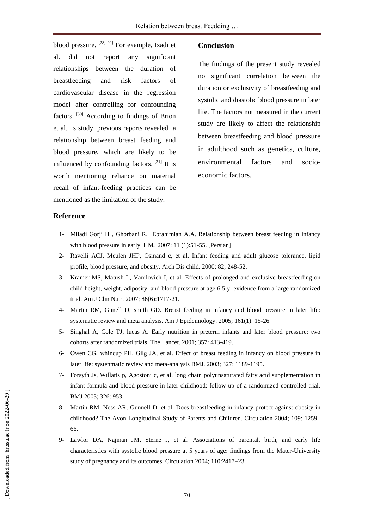blood pressure. <sup>[28, 29]</sup> For example, Izadi et al. did not report any significant relationships between the duration of breastfeeding and risk factors of cardiovascular disease in the regression model after controlling for confounding factors. [30] According to findings of Brion et al. ' s study, previous reports revealed a relationship between breast feeding and blood pressure, which are likely to be influenced by confounding factors.<sup>[31]</sup> It is worth mentioning reliance on maternal recall of infant-feeding practices can be mentioned as the limitation of the study.

#### **Conclusion**

The findings of the present study revealed no significant correlation between the duration or exclusivity of breastfeeding and systolic and diastolic blood pressure in later life. The factors not measured in the current study are likely to affect the relationship between breastfeeding and blood pressure in adulthood such as genetics, culture, environmental factors and socioeconomic factors.

#### **Reference**

- 1- [Miladi Gorji H ,](http://hmj.hums.ac.ir/search.php?slc_lang=en&sid=1&auth=Miladi+Gorji) [Ghorbani](http://hmj.hums.ac.ir/search.php?slc_lang=en&sid=1&auth=Ghorbani) R, [Ebrahimian](http://hmj.hums.ac.ir/search.php?slc_lang=en&sid=1&auth=Ebrahimian) A.A. Relationship between breast feeding in infancy with blood pressure in early. HMJ 2007; 11 (1):51-55. [Persian]
- 2- Ravelli ACJ, Meulen JHP, Osmand c, et al. Infant feeding and adult glucose tolerance, lipid profile, blood pressure, and obesity. Arch Dis child. 2000; 82; 248-52.
- 3- [Kramer MS,](http://www.ncbi.nlm.nih.gov/pubmed/?term=Kramer%20MS%5BAuthor%5D&cauthor=true&cauthor_uid=18065591) [Matush L,](http://www.ncbi.nlm.nih.gov/pubmed/?term=Matush%20L%5BAuthor%5D&cauthor=true&cauthor_uid=18065591) [Vanilovich I,](http://www.ncbi.nlm.nih.gov/pubmed/?term=Vanilovich%20I%5BAuthor%5D&cauthor=true&cauthor_uid=18065591) et al. Effects of prolonged and exclusive breastfeeding on child height, weight, adiposity, and blood pressure at age 6.5 y: evidence from a large randomized trial. [Am J Clin Nutr.](http://www.ncbi.nlm.nih.gov/pubmed/18065591) 2007; 86(6):1717-21.
- 4- Martin RM, Gunell D, smith GD. Breast feeding in infancy and blood pressure in later life: systematic review and meta analysis. Am J Epidemiology. 2005; 161(1): 15-26.
- 5- Singhal A, Cole TJ, lucas A. Early nutrition in preterm infants and later blood pressure: two cohorts after randomized trials. The Lancet. 2001; 357: 413-419.
- 6- Owen CG, whincup PH, Gilg JA, et al. Effect of breast feeding in infancy on blood pressure in later life: systenmatic review and meta-analysis BMJ. 2003; 327: 1189-1195.
- 7- Forsyth Js, Willatts p, Agostoni c, et al. long chain polyunsaturated fatty acid supplementation in infant formula and blood pressure in later childhood: follow up of a randomized controlled trial. BMJ 2003; 326: 953.
- 8- Martin RM, Ness AR, Gunnell D, et al. Does breastfeeding in infancy protect against obesity in childhood? The Avon Longitudinal Study of Parents and Children. Circulation 2004; 109: 1259– 66.
- 9- Lawlor DA, Najman JM, Sterne J, et al. Associations of parental, birth, and early life characteristics with systolic blood pressure at 5 years of age: findings from the Mater-University study of pregnancy and its outcomes. Circulation 2004; 110:2417–23.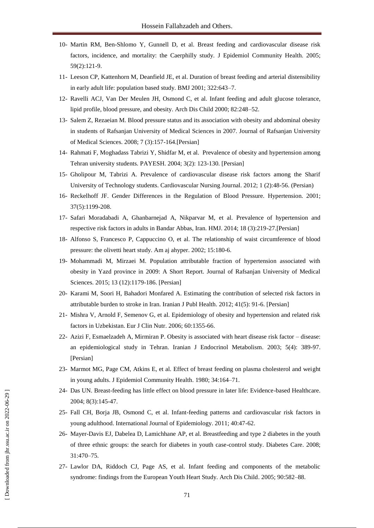- 10- [Martin RM,](http://www.ncbi.nlm.nih.gov/pubmed/?term=Martin%20RM%5BAuthor%5D&cauthor=true&cauthor_uid=15650143) [Ben-Shlomo Y,](http://www.ncbi.nlm.nih.gov/pubmed/?term=Ben-Shlomo%20Y%5BAuthor%5D&cauthor=true&cauthor_uid=15650143) [Gunnell D,](http://www.ncbi.nlm.nih.gov/pubmed/?term=Gunnell%20D%5BAuthor%5D&cauthor=true&cauthor_uid=15650143) et al. Breast feeding and cardiovascular disease risk factors, incidence, and mortality: the Caerphilly study. [J Epidemiol Community Health.](http://www.ncbi.nlm.nih.gov/pubmed/15650143) 2005; 59(2):121-9.
- 11- Leeson CP, Kattenhorn M, Deanfield JE, et al. Duration of breast feeding and arterial distensibility in early adult life: population based study. BMJ 2001; 322:643–7.
- 12- Ravelli ACJ, Van Der Meulen JH, Osmond C, et al. Infant feeding and adult glucose tolerance, lipid profile, blood pressure, and obesity. Arch Dis Child 2000; 82:248–52.
- 13- Salem Z, Rezaeian M. Blood pressure status and its association with obesity and abdominal obesity in students of Rafsanjan University of Medical Sciences in 2007. Journal of Rafsanjan University of Medical Sciences. 2008; 7 (3):157-164.[Persian]
- 14- [Rahmati F,](http://en.journals.sid.ir/SearchPaper.aspx?writer=6311) [Moghadass Tabrizi Y,](http://en.journals.sid.ir/SearchPaper.aspx?writer=6312) [Shidfar M,](http://en.journals.sid.ir/SearchPaper.aspx?writer=6313) et al. [Prevalence of obesity and hypertension among](http://en.journals.sid.ir/ViewPaper.aspx?ID=5559)  [Tehran university students. PAYESH.](http://en.journals.sid.ir/ViewPaper.aspx?ID=5559) 2004; 3(2): 123-130. [Persian]
- 15- Gholipour M, Tabrizi A. Prevalence of cardiovascular disease risk factors among the Sharif University of Technology students. Cardiovascular Nursing Journal. 2012; 1 (2):48-56. (Persian)
- 16- [Reckelhoff JF.](http://www.ncbi.nlm.nih.gov/pubmed/?term=Reckelhoff%20JF%5BAuthor%5D&cauthor=true&cauthor_uid=11358929) Gender Differences in the Regulation of Blood Pressure. [Hypertension.](http://www.ncbi.nlm.nih.gov/pubmed/11358929) 2001; 37(5):1199-208.
- 17- Safari Moradabadi A, Ghanbarnejad A, Nikparvar M, et al. Prevalence of hypertension and respective risk factors in adults in Bandar Abbas, Iran. HMJ. 2014; 18 (3):219-27.[Persian]
- 18- Alfonso S, Francesco P, Cappuccino O, et al. The relationship of waist circumference of blood pressure: the olivetti heart study. Am aj ahyper. 2002; 15:180-6.
- 19- Mohammadi M, Mirzaei M. Population attributable fraction of hypertension associated with obesity in Yazd province in 2009: A Short Report. Journal of Rafsanjan University of Medical Sciences. 2015; 13 (12):1179-186. [Persian]
- 20- Karami M, Soori H, Bahadori Monfared A. Estimating the contribution of selected risk factors in attributable burden to stroke in Iran. Iranian J Publ Health. 2012; 41(5): 91-6. [Persian]
- 21- Mishra V, Arnold F, Semenov G, et al. Epidemiology of obesity and hypertension and related risk factors in Uzbekistan. Eur J Clin Nutr. 2006; 60:1355-66.
- 22- Azizi F, Esmaelzadeh A, Mirmiran P. Obesity is associated with heart disease risk factor disease: an epidemiological study in Tehran. Iranian J Endocrinol Metabolism. 2003; 5(4): 389-97. [Persian]
- 23- Marmot MG, Page CM, Atkins E, et al. Effect of breast feeding on plasma cholesterol and weight in young adults. J Epidemiol Community Health. 1980; 34:164–71.
- 24- Das UN. Breast-feeding has little effect on blood pressure in later life: Evidence-based Healthcare. 2004; 8(3):145-47.
- 25- Fall CH, Borja JB, Osmond C, et al. Infant-feeding patterns and cardiovascular risk factors in young adulthood. International Journal of Epidemiology. 2011; 40:47-62.
- 26- Mayer-Davis EJ, Dabelea D, Lamichhane AP, et al. Breastfeeding and type 2 diabetes in the youth of three ethnic groups: the search for diabetes in youth case-control study. Diabetes Care. 2008; 31:470–75.
- 27- Lawlor DA, Riddoch CJ, Page AS, et al. Infant feeding and components of the metabolic syndrome: findings from the European Youth Heart Study. Arch Dis Child. 2005; 90:582–88.